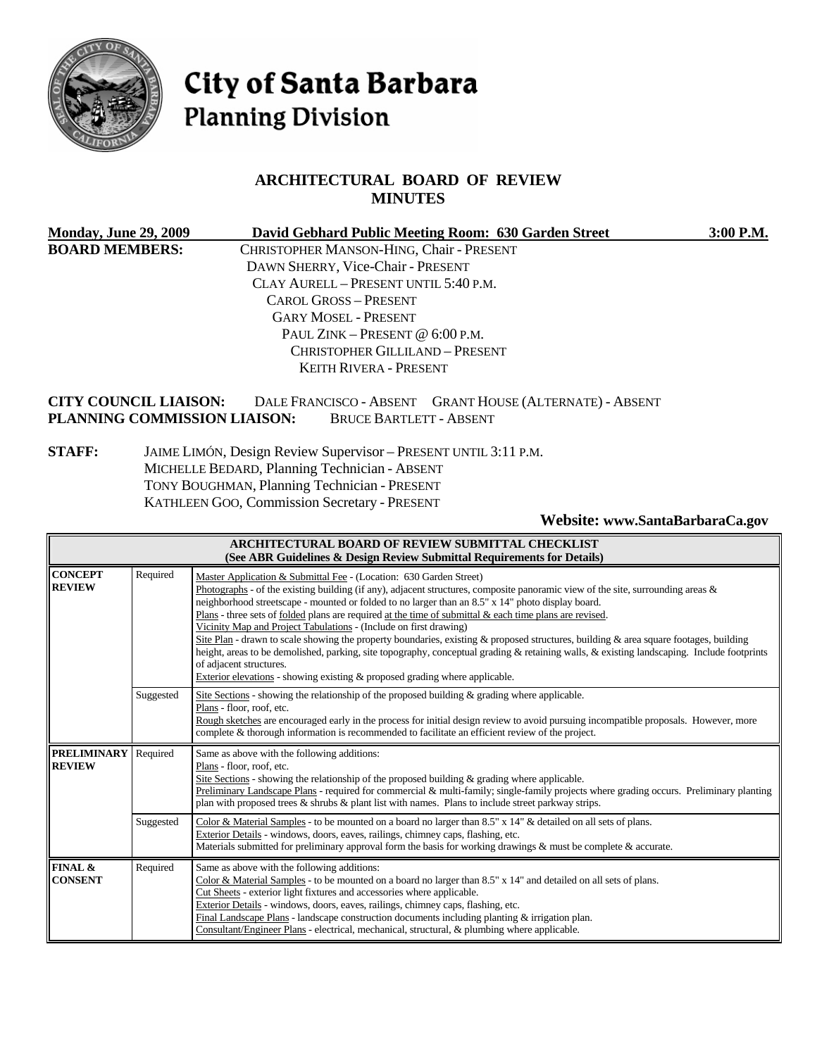

# City of Santa Barbara **Planning Division**

# **ARCHITECTURAL BOARD OF REVIEW MINUTES**

| <b>Monday, June 29, 2009</b>                                 | David Gebhard Public Meeting Room: 630 Garden Street                                       | 3:00 P.M. |
|--------------------------------------------------------------|--------------------------------------------------------------------------------------------|-----------|
| <b>BOARD MEMBERS:</b>                                        | CHRISTOPHER MANSON-HING, Chair - PRESENT                                                   |           |
|                                                              | DAWN SHERRY, Vice-Chair - PRESENT                                                          |           |
|                                                              | CLAY AURELL - PRESENT UNTIL 5:40 P.M.                                                      |           |
|                                                              | CAROL GROSS - PRESENT                                                                      |           |
|                                                              | <b>GARY MOSEL - PRESENT</b>                                                                |           |
|                                                              | PAUL ZINK – PRESENT @ $6:00$ P.M.                                                          |           |
|                                                              | CHRISTOPHER GILLILAND - PRESENT                                                            |           |
|                                                              | <b>KEITH RIVERA - PRESENT</b>                                                              |           |
| <b>CITY COUNCIL LIAISON:</b><br>PLANNING COMMISSION LIAISON: | DALE FRANCISCO - ABSENT GRANT HOUSE (ALTERNATE) - ABSENT<br><b>BRUCE BARTLETT - ABSENT</b> |           |

**STAFF:** JAIME LIMÓN, Design Review Supervisor – PRESENT UNTIL 3:11 P.M. MICHELLE BEDARD, Planning Technician - ABSENT TONY BOUGHMAN, Planning Technician - PRESENT KATHLEEN GOO, Commission Secretary - PRESENT

**Website: [www.SantaBarbaraCa.gov](http://www.santabarbaraca.gov/)** 

| ARCHITECTURAL BOARD OF REVIEW SUBMITTAL CHECKLIST<br>(See ABR Guidelines & Design Review Submittal Requirements for Details) |           |                                                                                                                                                                                                                                                                                                                                                                                                                                                                                                                                                                                                                                                                                                                                                                                                                                                                                                      |
|------------------------------------------------------------------------------------------------------------------------------|-----------|------------------------------------------------------------------------------------------------------------------------------------------------------------------------------------------------------------------------------------------------------------------------------------------------------------------------------------------------------------------------------------------------------------------------------------------------------------------------------------------------------------------------------------------------------------------------------------------------------------------------------------------------------------------------------------------------------------------------------------------------------------------------------------------------------------------------------------------------------------------------------------------------------|
| <b>CONCEPT</b><br><b>REVIEW</b>                                                                                              | Required  | Master Application & Submittal Fee - (Location: 630 Garden Street)<br>Photographs - of the existing building (if any), adjacent structures, composite panoramic view of the site, surrounding areas $\&$<br>neighborhood streetscape - mounted or folded to no larger than an 8.5" x 14" photo display board.<br>Plans - three sets of folded plans are required at the time of submittal $\&$ each time plans are revised.<br>Vicinity Map and Project Tabulations - (Include on first drawing)<br>Site Plan - drawn to scale showing the property boundaries, existing & proposed structures, building & area square footages, building<br>height, areas to be demolished, parking, site topography, conceptual grading & retaining walls, & existing landscaping. Include footprints<br>of adjacent structures.<br>Exterior elevations - showing existing $\&$ proposed grading where applicable. |
|                                                                                                                              | Suggested | Site Sections - showing the relationship of the proposed building $\&$ grading where applicable.<br>Plans - floor, roof, etc.<br>Rough sketches are encouraged early in the process for initial design review to avoid pursuing incompatible proposals. However, more<br>complete & thorough information is recommended to facilitate an efficient review of the project.                                                                                                                                                                                                                                                                                                                                                                                                                                                                                                                            |
| <b>PRELIMINARY</b><br><b>REVIEW</b>                                                                                          | Required  | Same as above with the following additions:<br>Plans - floor, roof, etc.<br>Site Sections - showing the relationship of the proposed building $\&$ grading where applicable.<br>Preliminary Landscape Plans - required for commercial & multi-family; single-family projects where grading occurs. Preliminary planting<br>plan with proposed trees $\&$ shrubs $\&$ plant list with names. Plans to include street parkway strips.                                                                                                                                                                                                                                                                                                                                                                                                                                                                  |
|                                                                                                                              | Suggested | Color & Material Samples - to be mounted on a board no larger than 8.5" x 14" & detailed on all sets of plans.<br>Exterior Details - windows, doors, eaves, railings, chimney caps, flashing, etc.<br>Materials submitted for preliminary approval form the basis for working drawings & must be complete & accurate.                                                                                                                                                                                                                                                                                                                                                                                                                                                                                                                                                                                |
| FINAL &<br><b>CONSENT</b>                                                                                                    | Required  | Same as above with the following additions:<br>Color & Material Samples - to be mounted on a board no larger than $8.5" \times 14"$ and detailed on all sets of plans.<br>Cut Sheets - exterior light fixtures and accessories where applicable.<br>Exterior Details - windows, doors, eaves, railings, chimney caps, flashing, etc.<br>Final Landscape Plans - landscape construction documents including planting $\&$ irrigation plan.<br>Consultant/Engineer Plans - electrical, mechanical, structural, & plumbing where applicable.                                                                                                                                                                                                                                                                                                                                                            |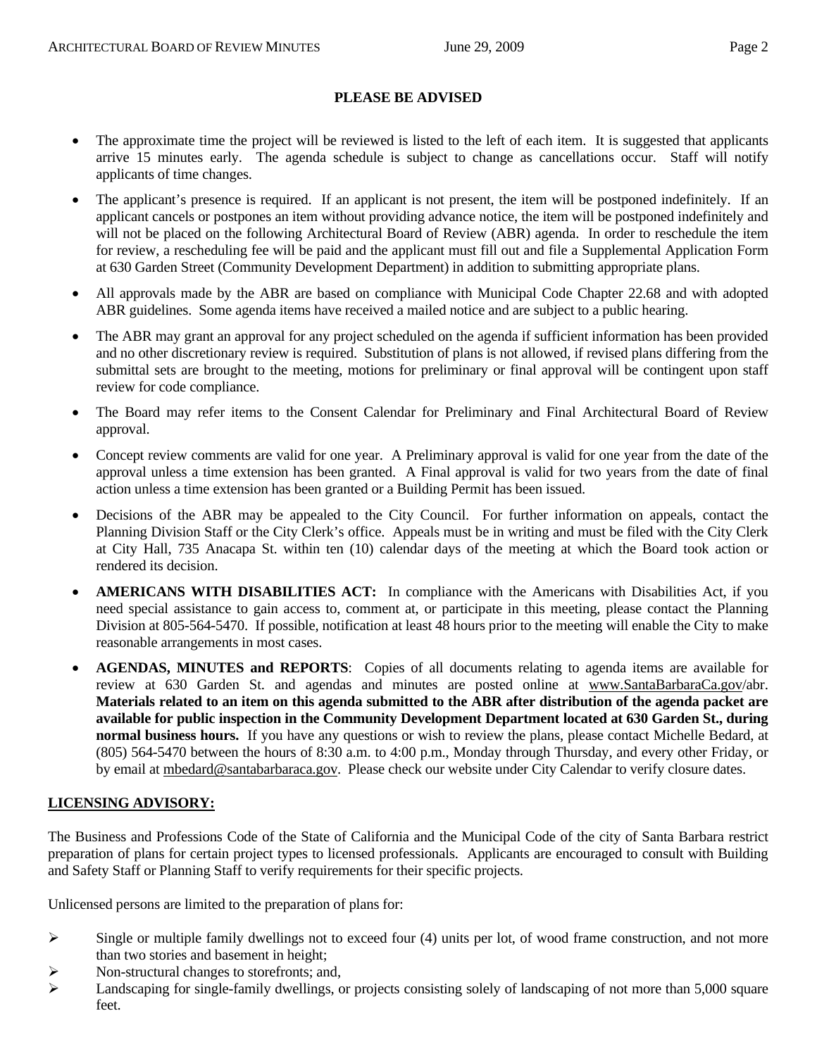#### **PLEASE BE ADVISED**

- The approximate time the project will be reviewed is listed to the left of each item. It is suggested that applicants arrive 15 minutes early. The agenda schedule is subject to change as cancellations occur. Staff will notify applicants of time changes.
- The applicant's presence is required. If an applicant is not present, the item will be postponed indefinitely. If an applicant cancels or postpones an item without providing advance notice, the item will be postponed indefinitely and will not be placed on the following Architectural Board of Review (ABR) agenda. In order to reschedule the item for review, a rescheduling fee will be paid and the applicant must fill out and file a Supplemental Application Form at 630 Garden Street (Community Development Department) in addition to submitting appropriate plans.
- All approvals made by the ABR are based on compliance with Municipal Code Chapter 22.68 and with adopted ABR guidelines. Some agenda items have received a mailed notice and are subject to a public hearing.
- The ABR may grant an approval for any project scheduled on the agenda if sufficient information has been provided and no other discretionary review is required. Substitution of plans is not allowed, if revised plans differing from the submittal sets are brought to the meeting, motions for preliminary or final approval will be contingent upon staff review for code compliance.
- The Board may refer items to the Consent Calendar for Preliminary and Final Architectural Board of Review approval.
- Concept review comments are valid for one year. A Preliminary approval is valid for one year from the date of the approval unless a time extension has been granted. A Final approval is valid for two years from the date of final action unless a time extension has been granted or a Building Permit has been issued.
- Decisions of the ABR may be appealed to the City Council. For further information on appeals, contact the Planning Division Staff or the City Clerk's office. Appeals must be in writing and must be filed with the City Clerk at City Hall, 735 Anacapa St. within ten (10) calendar days of the meeting at which the Board took action or rendered its decision.
- **AMERICANS WITH DISABILITIES ACT:** In compliance with the Americans with Disabilities Act, if you need special assistance to gain access to, comment at, or participate in this meeting, please contact the Planning Division at 805-564-5470. If possible, notification at least 48 hours prior to the meeting will enable the City to make reasonable arrangements in most cases.
- **AGENDAS, MINUTES and REPORTS**: Copies of all documents relating to agenda items are available for review at 630 Garden St. and agendas and minutes are posted online at [www.SantaBarbaraCa.gov/](http://www.santabarbaraca.gov/)abr. **Materials related to an item on this agenda submitted to the ABR after distribution of the agenda packet are available for public inspection in the Community Development Department located at 630 Garden St., during normal business hours.** If you have any questions or wish to review the plans, please contact Michelle Bedard, at (805) 564-5470 between the hours of 8:30 a.m. to 4:00 p.m., Monday through Thursday, and every other Friday, or by email at [mbedard@santabarbaraca.gov](mailto:mbedard@santabarbaraca.gov). Please check our website under City Calendar to verify closure dates.

# **LICENSING ADVISORY:**

The Business and Professions Code of the State of California and the Municipal Code of the city of Santa Barbara restrict preparation of plans for certain project types to licensed professionals. Applicants are encouraged to consult with Building and Safety Staff or Planning Staff to verify requirements for their specific projects.

Unlicensed persons are limited to the preparation of plans for:

- $\triangleright$  Single or multiple family dwellings not to exceed four (4) units per lot, of wood frame construction, and not more than two stories and basement in height;
- ¾ Non-structural changes to storefronts; and,
- $\blacktriangleright$  Landscaping for single-family dwellings, or projects consisting solely of landscaping of not more than 5,000 square feet.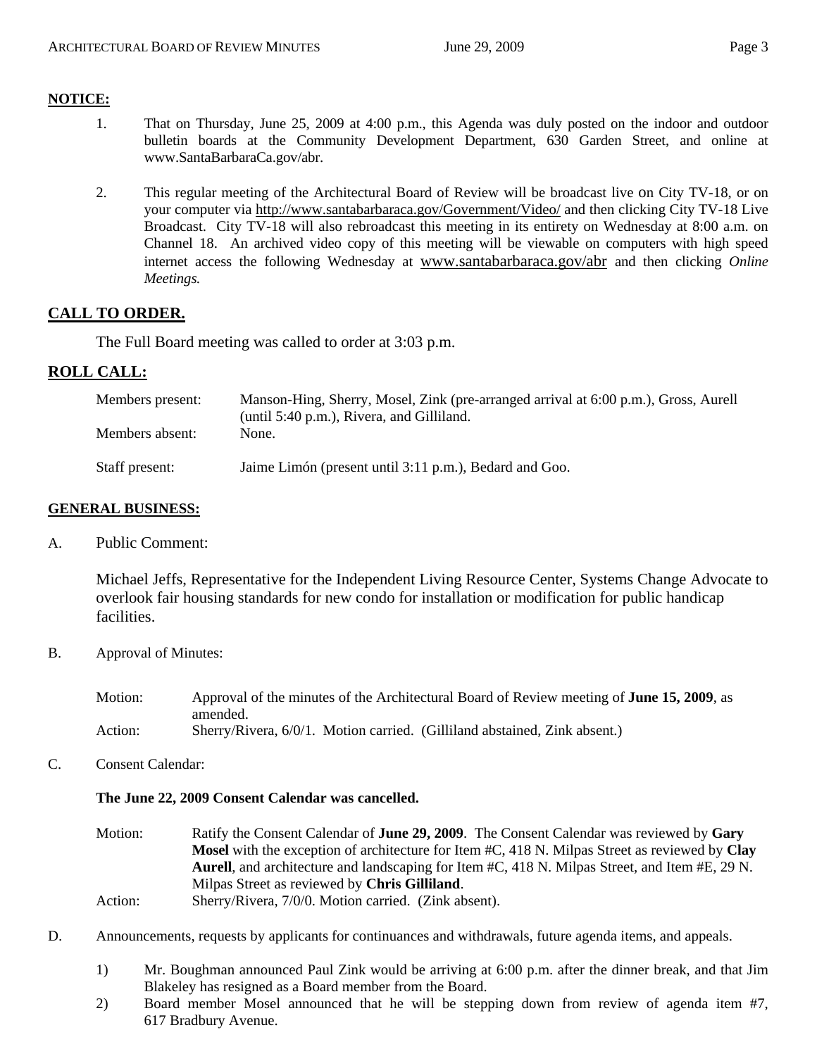# **NOTICE:**

- 1. That on Thursday, June 25, 2009 at 4:00 p.m., this Agenda was duly posted on the indoor and outdoor bulletin boards at the Community Development Department, 630 Garden Street, and online at [www.SantaBarbaraCa.gov/abr.](http://www.santabarbaraca.gov/abr)
- 2. This regular meeting of the Architectural Board of Review will be broadcast live on City TV-18, or on your computer via <http://www.santabarbaraca.gov/Government/Video/> and then clicking City TV-18 Live Broadcast. City TV-18 will also rebroadcast this meeting in its entirety on Wednesday at 8:00 a.m. on Channel 18. An archived video copy of this meeting will be viewable on computers with high speed internet access the following Wednesday at [www.santabarbaraca.gov/abr](http://www.santabarbaraca.gov/abr) and then clicking *Online Meetings.*

# **CALL TO ORDER.**

The Full Board meeting was called to order at 3:03 p.m.

# **ROLL CALL:**

| Members present: | Manson-Hing, Sherry, Mosel, Zink (pre-arranged arrival at 6:00 p.m.), Gross, Aurell<br>(until 5:40 p.m.), Rivera, and Gilliland. |
|------------------|----------------------------------------------------------------------------------------------------------------------------------|
| Members absent:  | None.                                                                                                                            |
| Staff present:   | Jaime Limón (present until 3:11 p.m.), Bedard and Goo.                                                                           |

# **GENERAL BUSINESS:**

A. Public Comment:

Michael Jeffs, Representative for the Independent Living Resource Center, Systems Change Advocate to overlook fair housing standards for new condo for installation or modification for public handicap facilities.

B. Approval of Minutes:

Motion: Approval of the minutes of the Architectural Board of Review meeting of **June 15, 2009**, as amended. Action: Sherry/Rivera, 6/0/1. Motion carried. (Gilliland abstained, Zink absent.)

C. Consent Calendar:

#### **The June 22, 2009 Consent Calendar was cancelled.**

Motion: Ratify the Consent Calendar of **June 29, 2009**. The Consent Calendar was reviewed by **Gary Mosel** with the exception of architecture for Item #C, 418 N. Milpas Street as reviewed by **Clay Aurell**, and architecture and landscaping for Item #C, 418 N. Milpas Street, and Item #E, 29 N. Milpas Street as reviewed by **Chris Gilliland**.

- Action: Sherry/Rivera, 7/0/0. Motion carried. (Zink absent).
- D. Announcements, requests by applicants for continuances and withdrawals, future agenda items, and appeals.
	- 1) Mr. Boughman announced Paul Zink would be arriving at 6:00 p.m. after the dinner break, and that Jim Blakeley has resigned as a Board member from the Board.
	- 2) Board member Mosel announced that he will be stepping down from review of agenda item #7, 617 Bradbury Avenue.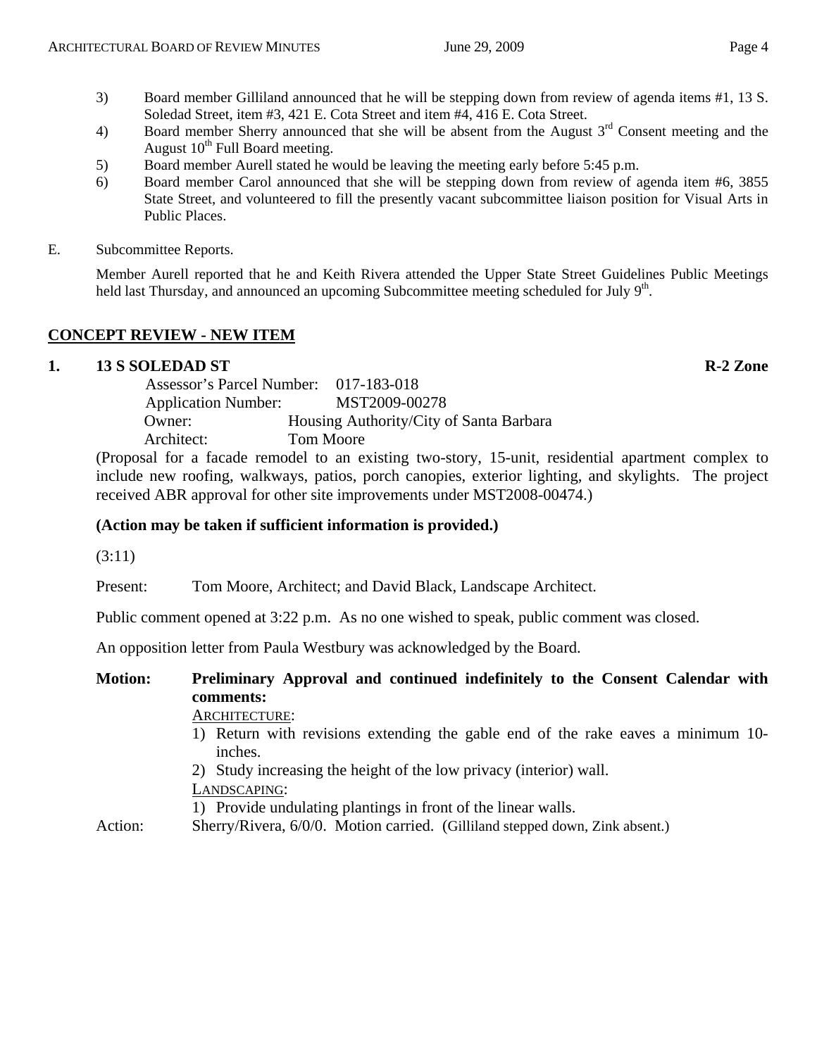- 4) Board member Sherry announced that she will be absent from the August  $3<sup>rd</sup>$  Consent meeting and the August  $10^{th}$  Full Board meeting.
- 5) Board member Aurell stated he would be leaving the meeting early before 5:45 p.m.
- 6) Board member Carol announced that she will be stepping down from review of agenda item #6, 3855 State Street, and volunteered to fill the presently vacant subcommittee liaison position for Visual Arts in Public Places.
- E. Subcommittee Reports.

Member Aurell reported that he and Keith Rivera attended the Upper State Street Guidelines Public Meetings held last Thursday, and announced an upcoming Subcommittee meeting scheduled for July 9th.

# **CONCEPT REVIEW - NEW ITEM**

#### **1. 13 S SOLEDAD ST R-2 Zone**

|                            | Assessor's Parcel Number: 017-183-018   |
|----------------------------|-----------------------------------------|
| <b>Application Number:</b> | MST2009-00278                           |
| Owner:                     | Housing Authority/City of Santa Barbara |
| Architect:                 | Tom Moore                               |
|                            |                                         |

(Proposal for a facade remodel to an existing two-story, 15-unit, residential apartment complex to include new roofing, walkways, patios, porch canopies, exterior lighting, and skylights. The project received ABR approval for other site improvements under MST2008-00474.)

#### **(Action may be taken if sufficient information is provided.)**

(3:11)

Present: Tom Moore, Architect; and David Black, Landscape Architect.

Public comment opened at 3:22 p.m. As no one wished to speak, public comment was closed.

An opposition letter from Paula Westbury was acknowledged by the Board.

# **Motion: Preliminary Approval and continued indefinitely to the Consent Calendar with comments:**

#### ARCHITECTURE:

- 1) Return with revisions extending the gable end of the rake eaves a minimum 10 inches.
- 2) Study increasing the height of the low privacy (interior) wall.
- LANDSCAPING:

1) Provide undulating plantings in front of the linear walls.

Action: Sherry/Rivera, 6/0/0. Motion carried. (Gilliland stepped down, Zink absent.)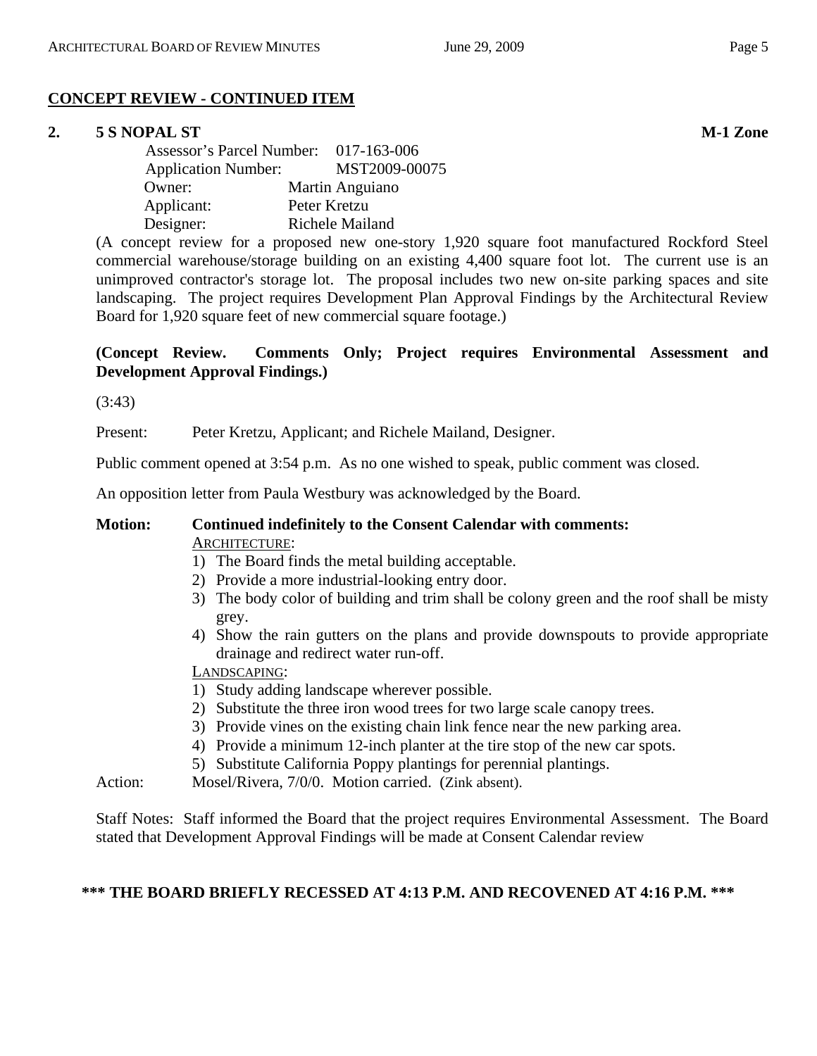# **CONCEPT REVIEW - CONTINUED ITEM**

# **2. 5 S NOPAL ST M-1 Zone**

| Assessor's Parcel Number: 017-163-006 |                 |
|---------------------------------------|-----------------|
| <b>Application Number:</b>            | MST2009-00075   |
| Owner:                                | Martin Anguiano |
| Applicant:                            | Peter Kretzu    |
| Designer:                             | Richele Mailand |

(A concept review for a proposed new one-story 1,920 square foot manufactured Rockford Steel commercial warehouse/storage building on an existing 4,400 square foot lot. The current use is an unimproved contractor's storage lot. The proposal includes two new on-site parking spaces and site landscaping. The project requires Development Plan Approval Findings by the Architectural Review Board for 1,920 square feet of new commercial square footage.)

# **(Concept Review. Comments Only; Project requires Environmental Assessment and Development Approval Findings.)**

(3:43)

Present: Peter Kretzu, Applicant; and Richele Mailand, Designer.

Public comment opened at 3:54 p.m. As no one wished to speak, public comment was closed.

An opposition letter from Paula Westbury was acknowledged by the Board.

#### **Motion: Continued indefinitely to the Consent Calendar with comments:**  ARCHITECTURE:

- 1) The Board finds the metal building acceptable.
- 2) Provide a more industrial-looking entry door.
- 3) The body color of building and trim shall be colony green and the roof shall be misty grey.
- 4) Show the rain gutters on the plans and provide downspouts to provide appropriate drainage and redirect water run-off.

# LANDSCAPING:

- 1) Study adding landscape wherever possible.
- 2) Substitute the three iron wood trees for two large scale canopy trees.
- 3) Provide vines on the existing chain link fence near the new parking area.
- 4) Provide a minimum 12-inch planter at the tire stop of the new car spots.
- 5) Substitute California Poppy plantings for perennial plantings.

Action: Mosel/Rivera, 7/0/0. Motion carried. (Zink absent).

Staff Notes: Staff informed the Board that the project requires Environmental Assessment. The Board stated that Development Approval Findings will be made at Consent Calendar review

# **\*\*\* THE BOARD BRIEFLY RECESSED AT 4:13 P.M. AND RECOVENED AT 4:16 P.M. \*\*\***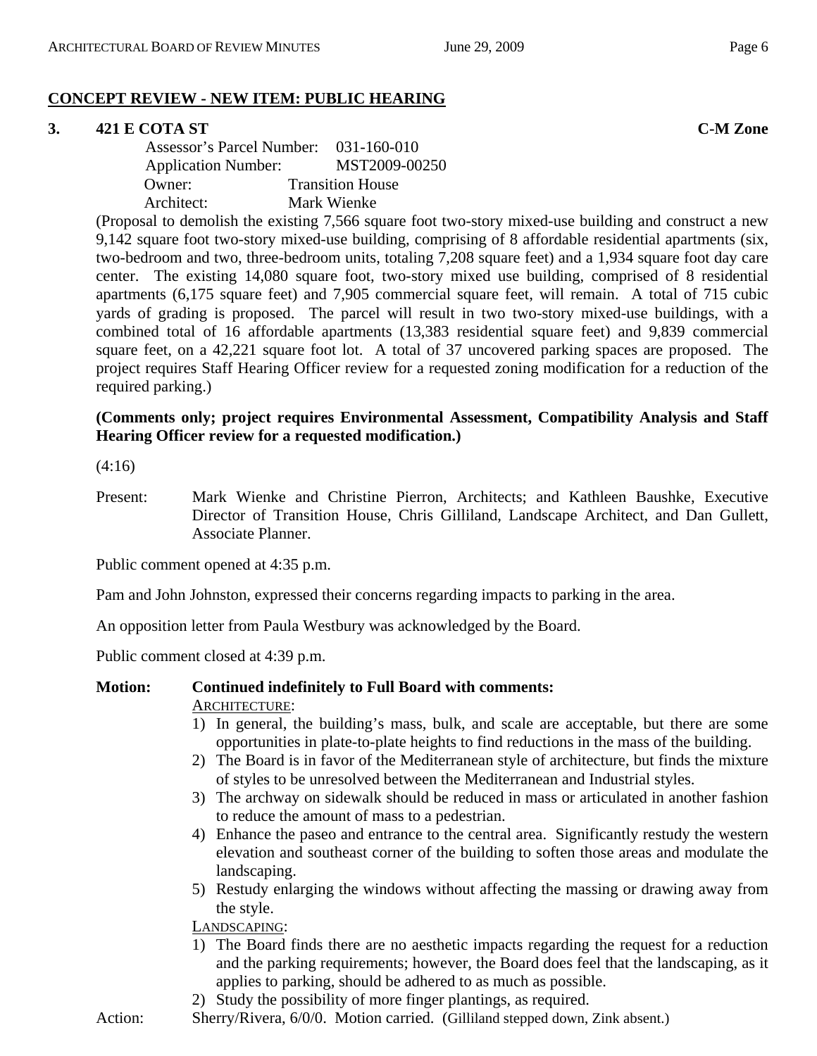# **CONCEPT REVIEW - NEW ITEM: PUBLIC HEARING**

# **3. 421 E COTA ST C-M Zone**

| Assessor's Parcel Number: 031-160-010 |                         |
|---------------------------------------|-------------------------|
| <b>Application Number:</b>            | MST2009-00250           |
| Owner:                                | <b>Transition House</b> |
| Architect:                            | Mark Wienke             |

(Proposal to demolish the existing 7,566 square foot two-story mixed-use building and construct a new 9,142 square foot two-story mixed-use building, comprising of 8 affordable residential apartments (six, two-bedroom and two, three-bedroom units, totaling 7,208 square feet) and a 1,934 square foot day care center. The existing 14,080 square foot, two-story mixed use building, comprised of 8 residential apartments (6,175 square feet) and 7,905 commercial square feet, will remain. A total of 715 cubic yards of grading is proposed. The parcel will result in two two-story mixed-use buildings, with a combined total of 16 affordable apartments (13,383 residential square feet) and 9,839 commercial square feet, on a 42,221 square foot lot. A total of 37 uncovered parking spaces are proposed. The project requires Staff Hearing Officer review for a requested zoning modification for a reduction of the required parking.)

### **(Comments only; project requires Environmental Assessment, Compatibility Analysis and Staff Hearing Officer review for a requested modification.)**

(4:16)

Present: Mark Wienke and Christine Pierron, Architects; and Kathleen Baushke, Executive Director of Transition House, Chris Gilliland, Landscape Architect, and Dan Gullett, Associate Planner.

Public comment opened at 4:35 p.m.

Pam and John Johnston, expressed their concerns regarding impacts to parking in the area.

An opposition letter from Paula Westbury was acknowledged by the Board.

Public comment closed at 4:39 p.m.

# **Motion: Continued indefinitely to Full Board with comments:**

ARCHITECTURE:

- 1) In general, the building's mass, bulk, and scale are acceptable, but there are some opportunities in plate-to-plate heights to find reductions in the mass of the building.
- 2) The Board is in favor of the Mediterranean style of architecture, but finds the mixture of styles to be unresolved between the Mediterranean and Industrial styles.
- 3) The archway on sidewalk should be reduced in mass or articulated in another fashion to reduce the amount of mass to a pedestrian.
- 4) Enhance the paseo and entrance to the central area. Significantly restudy the western elevation and southeast corner of the building to soften those areas and modulate the landscaping.
- 5) Restudy enlarging the windows without affecting the massing or drawing away from the style.

LANDSCAPING:

- 1) The Board finds there are no aesthetic impacts regarding the request for a reduction and the parking requirements; however, the Board does feel that the landscaping, as it applies to parking, should be adhered to as much as possible.
- 2) Study the possibility of more finger plantings, as required.
- Action: Sherry/Rivera, 6/0/0. Motion carried. (Gilliland stepped down, Zink absent.)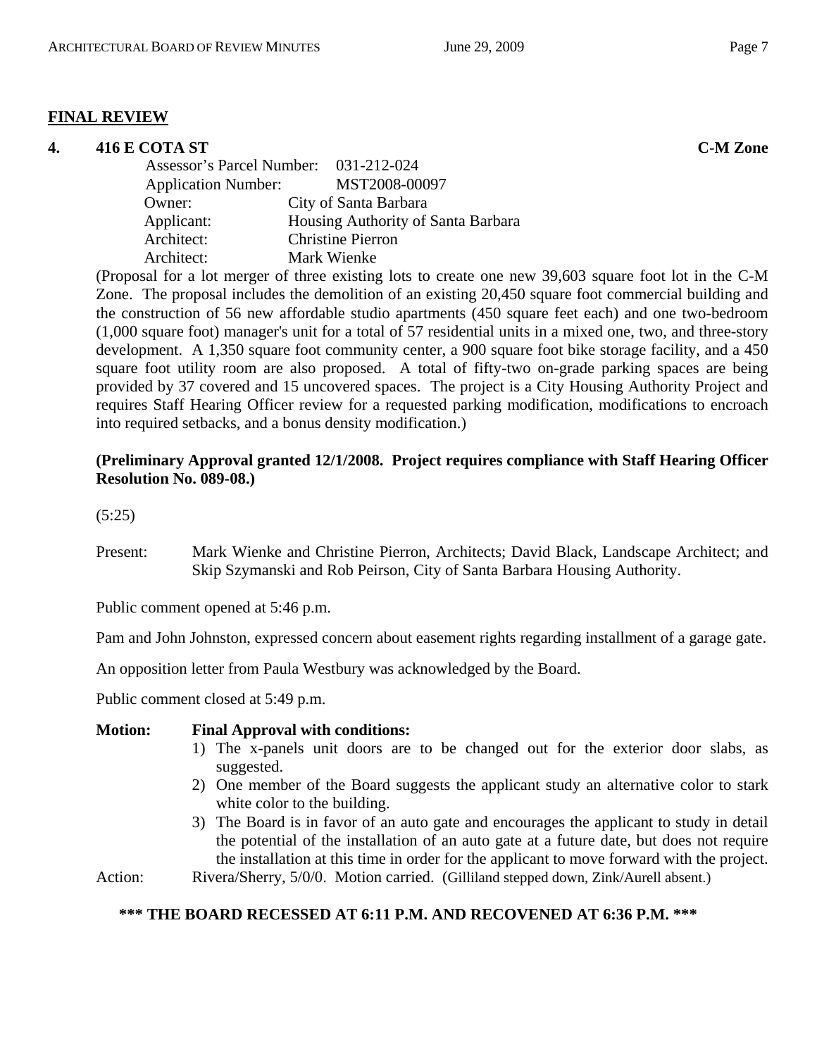#### **FINAL REVIEW**

# **4. 416 E COTA ST C-M Zone**  Assessor's Parcel Number: 031-212-024 Application Number: MST2008-00097 Owner: City of Santa Barbara Applicant: Housing Authority of Santa Barbara Architect: Christine Pierron Architect: Mark Wienke

(Proposal for a lot merger of three existing lots to create one new 39,603 square foot lot in the C-M Zone. The proposal includes the demolition of an existing 20,450 square foot commercial building and the construction of 56 new affordable studio apartments (450 square feet each) and one two-bedroom (1,000 square foot) manager's unit for a total of 57 residential units in a mixed one, two, and three-story development. A 1,350 square foot community center, a 900 square foot bike storage facility, and a 450 square foot utility room are also proposed. A total of fifty-two on-grade parking spaces are being provided by 37 covered and 15 uncovered spaces. The project is a City Housing Authority Project and requires Staff Hearing Officer review for a requested parking modification, modifications to encroach into required setbacks, and a bonus density modification.)

#### **(Preliminary Approval granted 12/1/2008. Project requires compliance with Staff Hearing Officer Resolution No. 089-08.)**

(5:25)

Present: Mark Wienke and Christine Pierron, Architects; David Black, Landscape Architect; and Skip Szymanski and Rob Peirson, City of Santa Barbara Housing Authority.

Public comment opened at 5:46 p.m.

Pam and John Johnston, expressed concern about easement rights regarding installment of a garage gate.

An opposition letter from Paula Westbury was acknowledged by the Board.

Public comment closed at 5:49 p.m.

#### **Motion: Final Approval with conditions:**

- 1) The x-panels unit doors are to be changed out for the exterior door slabs, as suggested.
- 2) One member of the Board suggests the applicant study an alternative color to stark white color to the building.
- 3) The Board is in favor of an auto gate and encourages the applicant to study in detail the potential of the installation of an auto gate at a future date, but does not require the installation at this time in order for the applicant to move forward with the project.

Action: Rivera/Sherry, 5/0/0. Motion carried. (Gilliland stepped down, Zink/Aurell absent.)

#### **\*\*\* THE BOARD RECESSED AT 6:11 P.M. AND RECOVENED AT 6:36 P.M. \*\*\***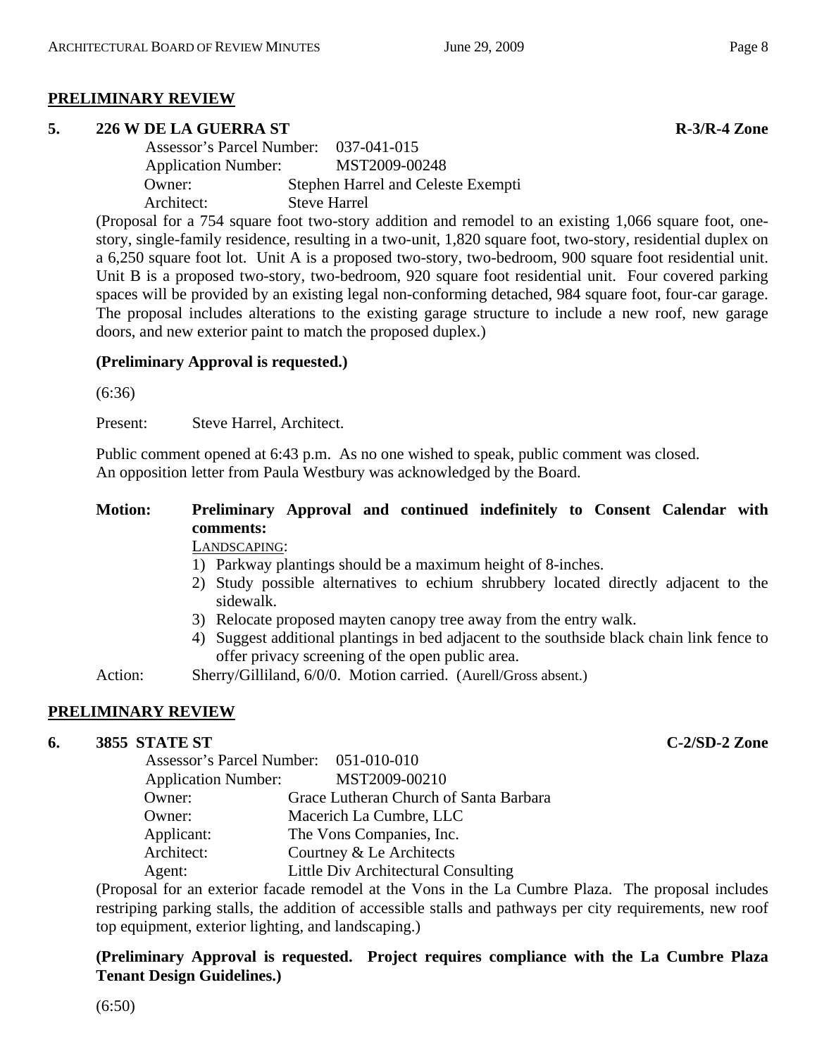#### **PRELIMINARY REVIEW**

#### **5. 226 W DE LA GUERRA ST R-3/R-4 Zone**

 Assessor's Parcel Number: 037-041-015 Application Number: MST2009-00248 Owner: Stephen Harrel and Celeste Exempti Architect: Steve Harrel

(Proposal for a 754 square foot two-story addition and remodel to an existing 1,066 square foot, onestory, single-family residence, resulting in a two-unit, 1,820 square foot, two-story, residential duplex on a 6,250 square foot lot. Unit A is a proposed two-story, two-bedroom, 900 square foot residential unit. Unit B is a proposed two-story, two-bedroom, 920 square foot residential unit. Four covered parking spaces will be provided by an existing legal non-conforming detached, 984 square foot, four-car garage. The proposal includes alterations to the existing garage structure to include a new roof, new garage doors, and new exterior paint to match the proposed duplex.)

#### **(Preliminary Approval is requested.)**

(6:36)

Present: Steve Harrel, Architect.

Public comment opened at 6:43 p.m. As no one wished to speak, public comment was closed. An opposition letter from Paula Westbury was acknowledged by the Board.

# **Motion: Preliminary Approval and continued indefinitely to Consent Calendar with comments:**

LANDSCAPING:

- 1) Parkway plantings should be a maximum height of 8-inches.
- 2) Study possible alternatives to echium shrubbery located directly adjacent to the sidewalk.
- 3) Relocate proposed mayten canopy tree away from the entry walk.
- 4) Suggest additional plantings in bed adjacent to the southside black chain link fence to offer privacy screening of the open public area.

Action: Sherry/Gilliland, 6/0/0. Motion carried. (Aurell/Gross absent.)

#### **PRELIMINARY REVIEW**

#### **6. 3855 STATE ST C-2/SD-2 Zone**

 Assessor's Parcel Number: 051-010-010 Application Number: MST2009-00210 Owner: Grace Lutheran Church of Santa Barbara Owner: Macerich La Cumbre, LLC Applicant: The Vons Companies, Inc. Architect: Courtney & Le Architects Agent: Little Div Architectural Consulting

(Proposal for an exterior facade remodel at the Vons in the La Cumbre Plaza. The proposal includes restriping parking stalls, the addition of accessible stalls and pathways per city requirements, new roof top equipment, exterior lighting, and landscaping.)

**(Preliminary Approval is requested. Project requires compliance with the La Cumbre Plaza Tenant Design Guidelines.)**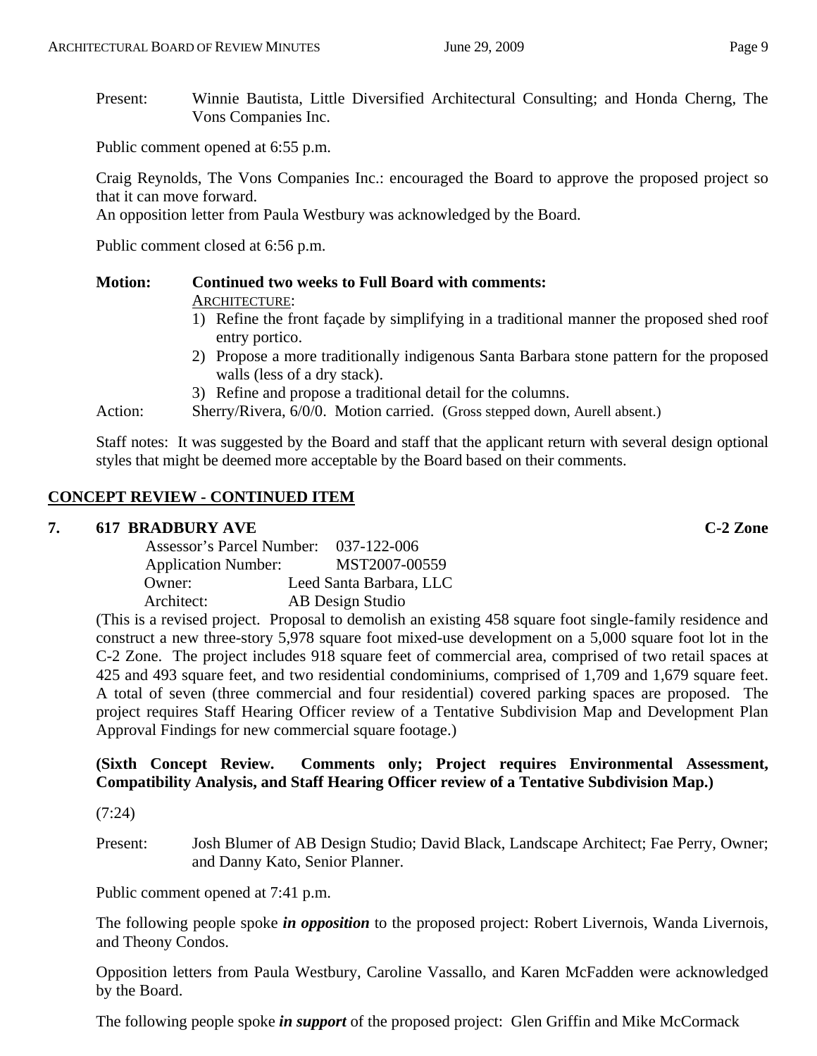Public comment opened at 6:55 p.m.

Craig Reynolds, The Vons Companies Inc.: encouraged the Board to approve the proposed project so that it can move forward.

An opposition letter from Paula Westbury was acknowledged by the Board.

Public comment closed at 6:56 p.m.

#### **Motion: Continued two weeks to Full Board with comments:**  ARCHITECTURE:

- 1) Refine the front façade by simplifying in a traditional manner the proposed shed roof entry portico.
- 2) Propose a more traditionally indigenous Santa Barbara stone pattern for the proposed walls (less of a dry stack).
- 3) Refine and propose a traditional detail for the columns.
- Action: Sherry/Rivera, 6/0/0. Motion carried. (Gross stepped down, Aurell absent.)

Staff notes: It was suggested by the Board and staff that the applicant return with several design optional styles that might be deemed more acceptable by the Board based on their comments.

#### **CONCEPT REVIEW - CONTINUED ITEM**

#### **7. 617 BRADBURY AVE C-2 Zone**

| <b>Assessor's Parcel Number:</b> | 037-122-006             |
|----------------------------------|-------------------------|
| <b>Application Number:</b>       | MST2007-00559           |
| Owner:                           | Leed Santa Barbara, LLC |
| Architect:                       | AB Design Studio        |

(This is a revised project. Proposal to demolish an existing 458 square foot single-family residence and construct a new three-story 5,978 square foot mixed-use development on a 5,000 square foot lot in the C-2 Zone. The project includes 918 square feet of commercial area, comprised of two retail spaces at 425 and 493 square feet, and two residential condominiums, comprised of 1,709 and 1,679 square feet. A total of seven (three commercial and four residential) covered parking spaces are proposed. The project requires Staff Hearing Officer review of a Tentative Subdivision Map and Development Plan Approval Findings for new commercial square footage.)

# **(Sixth Concept Review. Comments only; Project requires Environmental Assessment, Compatibility Analysis, and Staff Hearing Officer review of a Tentative Subdivision Map.)**

(7:24)

Present: Josh Blumer of AB Design Studio; David Black, Landscape Architect; Fae Perry, Owner; and Danny Kato, Senior Planner.

Public comment opened at 7:41 p.m.

The following people spoke *in opposition* to the proposed project: Robert Livernois, Wanda Livernois, and Theony Condos.

Opposition letters from Paula Westbury, Caroline Vassallo, and Karen McFadden were acknowledged by the Board.

The following people spoke *in support* of the proposed project: Glen Griffin and Mike McCormack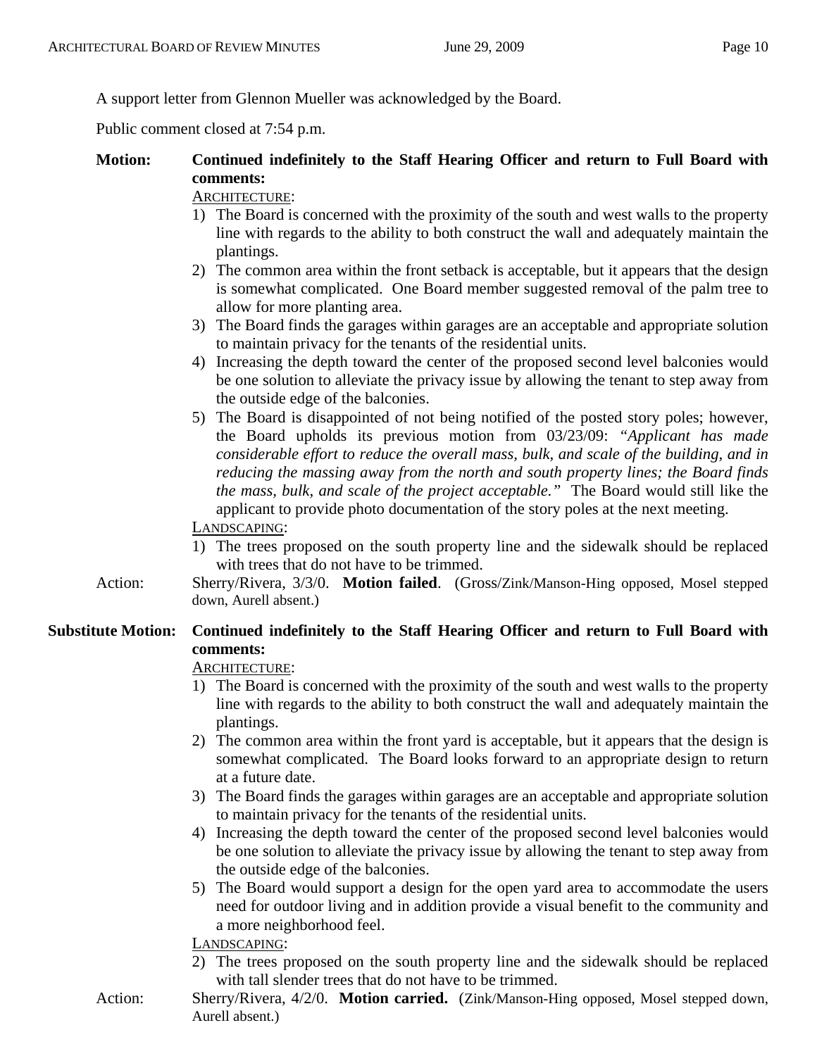A support letter from Glennon Mueller was acknowledged by the Board.

Public comment closed at 7:54 p.m.

# **Motion: Continued indefinitely to the Staff Hearing Officer and return to Full Board with comments:**

#### ARCHITECTURE:

- 1) The Board is concerned with the proximity of the south and west walls to the property line with regards to the ability to both construct the wall and adequately maintain the plantings.
- 2) The common area within the front setback is acceptable, but it appears that the design is somewhat complicated. One Board member suggested removal of the palm tree to allow for more planting area.
- 3) The Board finds the garages within garages are an acceptable and appropriate solution to maintain privacy for the tenants of the residential units.
- 4) Increasing the depth toward the center of the proposed second level balconies would be one solution to alleviate the privacy issue by allowing the tenant to step away from the outside edge of the balconies.
- 5) The Board is disappointed of not being notified of the posted story poles; however, the Board upholds its previous motion from 03/23/09: *"Applicant has made considerable effort to reduce the overall mass, bulk, and scale of the building, and in reducing the massing away from the north and south property lines; the Board finds the mass, bulk, and scale of the project acceptable."* The Board would still like the applicant to provide photo documentation of the story poles at the next meeting.

#### LANDSCAPING:

- 1) The trees proposed on the south property line and the sidewalk should be replaced with trees that do not have to be trimmed.
- Action: Sherry/Rivera, 3/3/0. **Motion failed**. (Gross/Zink/Manson-Hing opposed, Mosel stepped down, Aurell absent.)

# **Substitute Motion: Continued indefinitely to the Staff Hearing Officer and return to Full Board with comments:**

#### ARCHITECTURE:

- 1) The Board is concerned with the proximity of the south and west walls to the property line with regards to the ability to both construct the wall and adequately maintain the plantings.
- 2) The common area within the front yard is acceptable, but it appears that the design is somewhat complicated. The Board looks forward to an appropriate design to return at a future date.
- 3) The Board finds the garages within garages are an acceptable and appropriate solution to maintain privacy for the tenants of the residential units.
- 4) Increasing the depth toward the center of the proposed second level balconies would be one solution to alleviate the privacy issue by allowing the tenant to step away from the outside edge of the balconies.
- 5) The Board would support a design for the open yard area to accommodate the users need for outdoor living and in addition provide a visual benefit to the community and a more neighborhood feel.

#### LANDSCAPING:

- 2) The trees proposed on the south property line and the sidewalk should be replaced with tall slender trees that do not have to be trimmed.
- Action: Sherry/Rivera, 4/2/0. **Motion carried.** (Zink/Manson-Hing opposed, Mosel stepped down, Aurell absent.)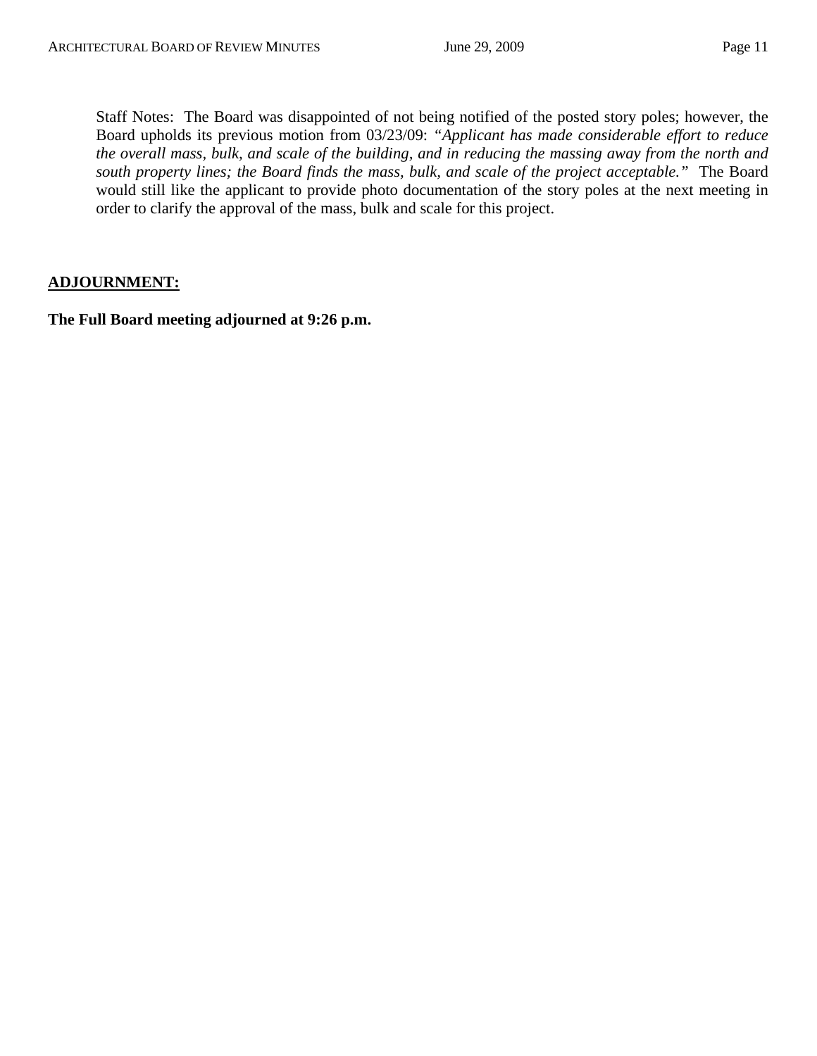Staff Notes: The Board was disappointed of not being notified of the posted story poles; however, the Board upholds its previous motion from 03/23/09: *"Applicant has made considerable effort to reduce the overall mass, bulk, and scale of the building, and in reducing the massing away from the north and south property lines; the Board finds the mass, bulk, and scale of the project acceptable."* The Board would still like the applicant to provide photo documentation of the story poles at the next meeting in order to clarify the approval of the mass, bulk and scale for this project.

#### **ADJOURNMENT:**

**The Full Board meeting adjourned at 9:26 p.m.**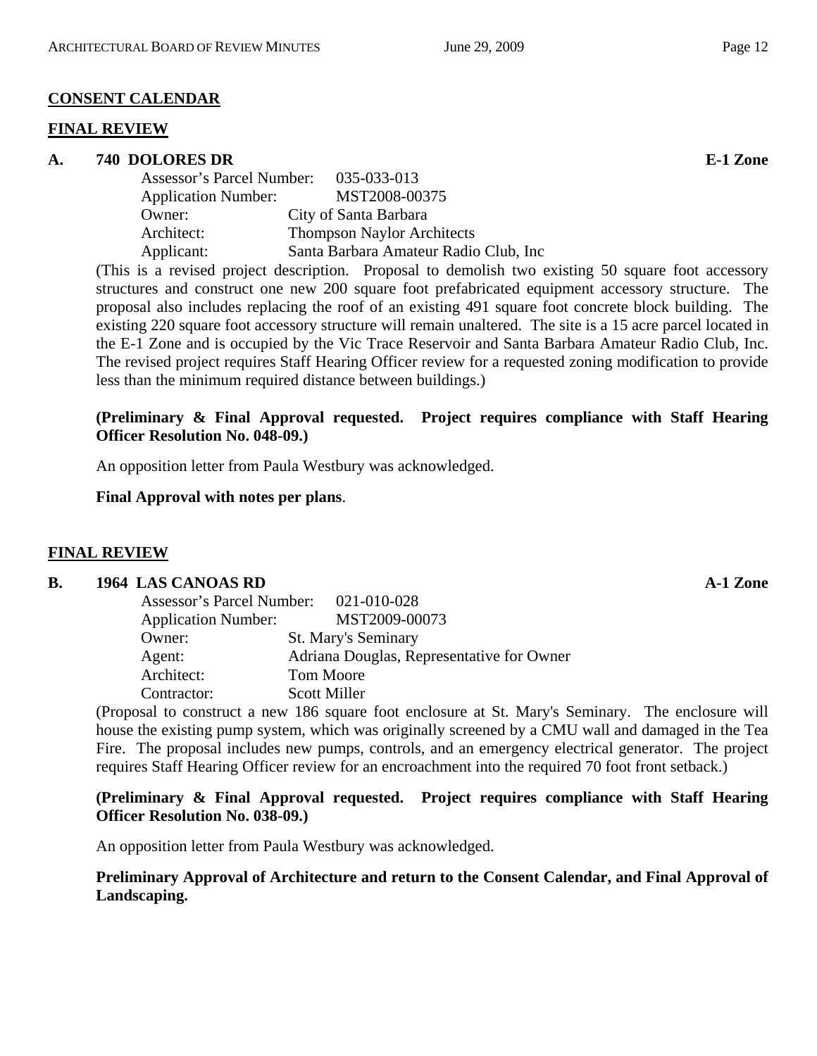# **CONSENT CALENDAR**

# **FINAL REVIEW**

# **A. 740 DOLORES DR E-1 Zone**

| Assessor's Parcel Number:  | 035-033-013                            |
|----------------------------|----------------------------------------|
| <b>Application Number:</b> | MST2008-00375                          |
| Owner:                     | City of Santa Barbara                  |
| Architect:                 | <b>Thompson Naylor Architects</b>      |
| Applicant:                 | Santa Barbara Amateur Radio Club, Inc. |
|                            |                                        |

(This is a revised project description. Proposal to demolish two existing 50 square foot accessory structures and construct one new 200 square foot prefabricated equipment accessory structure. The proposal also includes replacing the roof of an existing 491 square foot concrete block building. The existing 220 square foot accessory structure will remain unaltered. The site is a 15 acre parcel located in the E-1 Zone and is occupied by the Vic Trace Reservoir and Santa Barbara Amateur Radio Club, Inc. The revised project requires Staff Hearing Officer review for a requested zoning modification to provide less than the minimum required distance between buildings.)

# **(Preliminary & Final Approval requested. Project requires compliance with Staff Hearing Officer Resolution No. 048-09.)**

An opposition letter from Paula Westbury was acknowledged.

# **Final Approval with notes per plans**.

# **FINAL REVIEW**

# **B.** 1964 LAS CANOAS RD **A-1 Zone**

| Assessor's Parcel Number: 021-010-028 |                                           |
|---------------------------------------|-------------------------------------------|
| <b>Application Number:</b>            | MST2009-00073                             |
| Owner:                                | <b>St. Mary's Seminary</b>                |
| Agent:                                | Adriana Douglas, Representative for Owner |
| Architect:                            | Tom Moore                                 |
| Contractor:                           | <b>Scott Miller</b>                       |

(Proposal to construct a new 186 square foot enclosure at St. Mary's Seminary. The enclosure will house the existing pump system, which was originally screened by a CMU wall and damaged in the Tea Fire. The proposal includes new pumps, controls, and an emergency electrical generator. The project requires Staff Hearing Officer review for an encroachment into the required 70 foot front setback.)

# **(Preliminary & Final Approval requested. Project requires compliance with Staff Hearing Officer Resolution No. 038-09.)**

An opposition letter from Paula Westbury was acknowledged.

# **Preliminary Approval of Architecture and return to the Consent Calendar, and Final Approval of Landscaping.**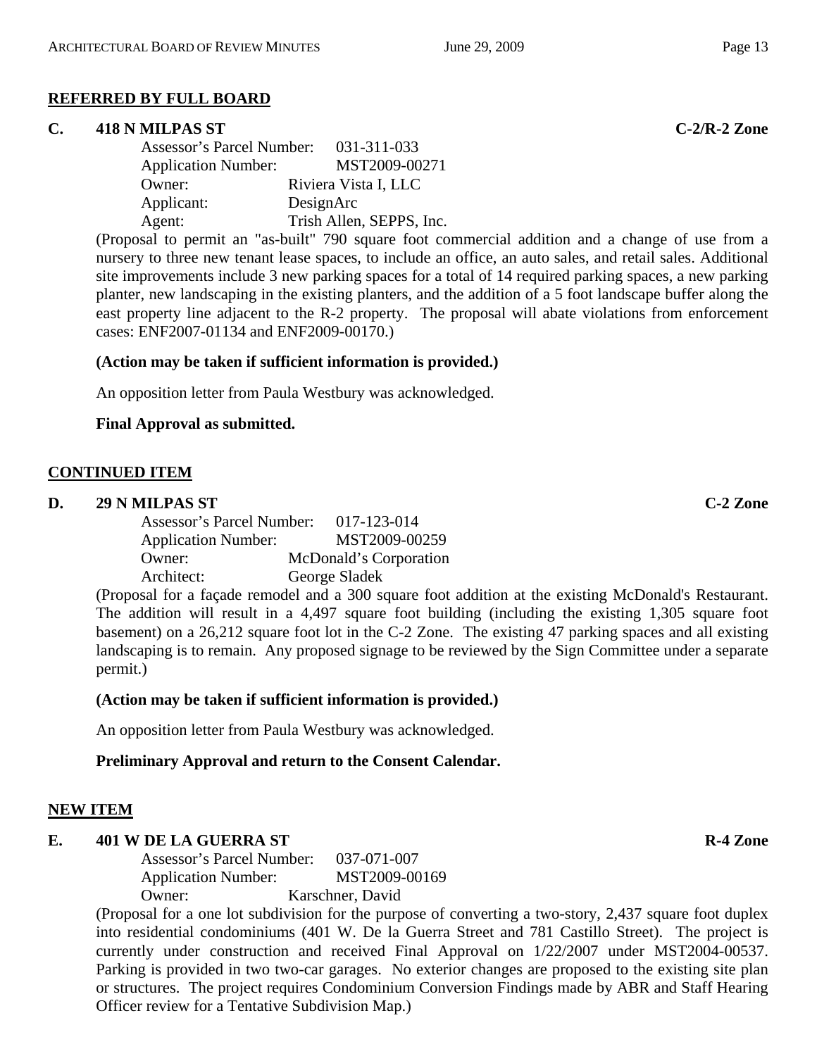#### **REFERRED BY FULL BOARD**

#### **C. 418 N MILPAS ST C-2/R-2 Zone**

| Assessor's Parcel Number:  | 031-311-033              |
|----------------------------|--------------------------|
| <b>Application Number:</b> | MST2009-00271            |
| Owner:                     | Riviera Vista I, LLC     |
| Applicant:                 | DesignArc                |
| Agent:                     | Trish Allen, SEPPS, Inc. |

(Proposal to permit an "as-built" 790 square foot commercial addition and a change of use from a nursery to three new tenant lease spaces, to include an office, an auto sales, and retail sales. Additional site improvements include 3 new parking spaces for a total of 14 required parking spaces, a new parking planter, new landscaping in the existing planters, and the addition of a 5 foot landscape buffer along the east property line adjacent to the R-2 property. The proposal will abate violations from enforcement cases: ENF2007-01134 and ENF2009-00170.)

#### **(Action may be taken if sufficient information is provided.)**

An opposition letter from Paula Westbury was acknowledged.

#### **Final Approval as submitted.**

#### **CONTINUED ITEM**

#### **D. 29 N MILPAS ST C-2 Zone**

| Assessor's Parcel Number:  | 017-123-014            |
|----------------------------|------------------------|
| <b>Application Number:</b> | MST2009-00259          |
| Owner:                     | McDonald's Corporation |
| Architect:                 | George Sladek          |
|                            |                        |

(Proposal for a façade remodel and a 300 square foot addition at the existing McDonald's Restaurant. The addition will result in a 4,497 square foot building (including the existing 1,305 square foot basement) on a 26,212 square foot lot in the C-2 Zone. The existing 47 parking spaces and all existing landscaping is to remain. Any proposed signage to be reviewed by the Sign Committee under a separate permit.)

#### **(Action may be taken if sufficient information is provided.)**

An opposition letter from Paula Westbury was acknowledged.

#### **Preliminary Approval and return to the Consent Calendar.**

# **NEW ITEM**

# **E.** 401 W DE LA GUERRA ST **R-4 Zone**

Assessor's Parcel Number: 037-071-007 Application Number: MST2009-00169 Owner: Karschner, David

(Proposal for a one lot subdivision for the purpose of converting a two-story, 2,437 square foot duplex into residential condominiums (401 W. De la Guerra Street and 781 Castillo Street). The project is currently under construction and received Final Approval on 1/22/2007 under MST2004-00537. Parking is provided in two two-car garages. No exterior changes are proposed to the existing site plan or structures. The project requires Condominium Conversion Findings made by ABR and Staff Hearing Officer review for a Tentative Subdivision Map.)